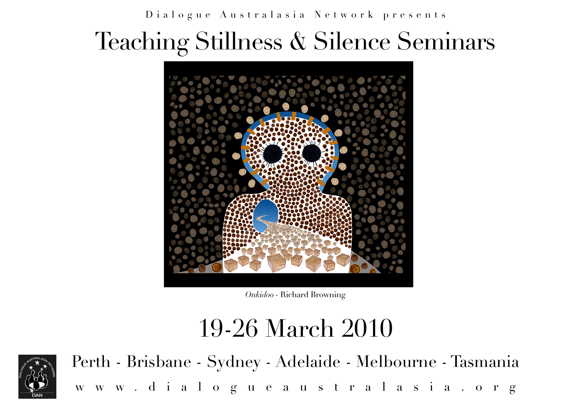Dialogue Australasia Network presents

# Teaching Stillness & Silence Seminars



*Onkidoo -* Richard Browning

## 19-26 March 2010



Perth - Brisbane - Sydney - Adelaide - Melbourne - Tasmania [www.dialogueaustralasia.org](http://www.dialogueaustralasia.org)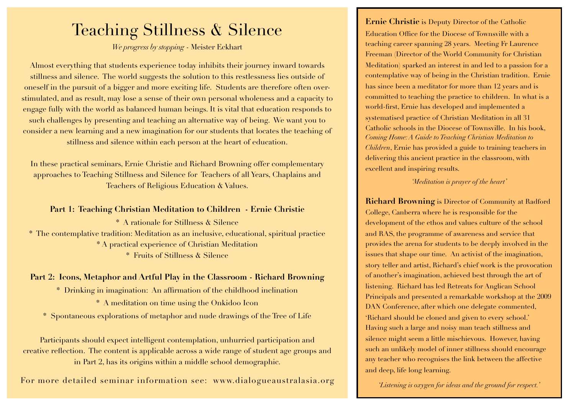## Teaching Stillness & Silence

*We progress by stopping* - Meister Eckhart

Almost everything that students experience today inhibits their journey inward towards stillness and silence. The world suggests the solution to this restlessness lies outside of oneself in the pursuit of a bigger and more exciting life. Students are therefore often overstimulated, and as result, may lose a sense of their own personal wholeness and a capacity to engage fully with the world as balanced human beings. It is vital that education responds to such challenges by presenting and teaching an alternative way of being. We want you to consider a new learning and a new imagination for our students that locates the teaching of stillness and silence within each person at the heart of education.

In these practical seminars, Ernie Christie and Richard Browning offer complementary approaches to Teaching Stillness and Silence for Teachers of all Years, Chaplains and Teachers of Religious Education & Values.

#### **Part 1: Teaching Christian Meditation to Children - Ernie Christie**

\* A rationale for Stillness & Silence \* The contemplative tradition: Meditation as an inclusive, educational, spiritual practice \* A practical experience of Christian Meditation \* Fruits of Stillness & Silence

#### **Part 2: Icons, Metaphor and Artful Play in the Classroom - Richard Browning**

\* Drinking in imagination: An affirmation of the childhood inclination

\* A meditation on time using the Onkidoo Icon

\* Spontaneous explorations of metaphor and nude drawings of the Tree of Life

Participants should expect intelligent contemplation, unhurried participation and creative reflection. The content is applicable across a wide range of student age groups and in Part 2, has its origins within a middle school demographic.

For more detailed seminar information see: [www.dialogueaustralasia.org](http://www.dialogueaustralasia.org)

**Ernie Christie** is Deputy Director of the Catholic Education Office for the Diocese of Townsville with a teaching career spanning 28 years. Meeting Fr Laurence Freeman (Director of the World Community for Christian Meditation) sparked an interest in and led to a passion for a contemplative way of being in the Christian tradition. Ernie has since been a meditator for more than 12 years and is committed to teaching the practice to children. In what is a world-first, Ernie has developed and implemented a systematised practice of Christian Meditation in all 31 Catholic schools in the Diocese of Townsville. In his book, *Coming Home: A Guide to Teaching Christian Meditation to Children*, Ernie has provided a guide to training teachers in delivering this ancient practice in the classroom, with excellent and inspiring results.

#### *'Meditation is prayer of the heart'*

**Richard Browning** is Director of Community at Radford College, Canberra where he is responsible for the development of the ethos and values culture of the school and RAS, the programme of awareness and service that provides the arena for students to be deeply involved in the issues that shape our time. An activist of the imagination, story teller and artist, Richard's chief work is the provocation of another's imagination, achieved best through the art of listening. Richard has led Retreats for Anglican School Principals and presented a remarkable workshop at the 2009 DAN Conference, after which one delegate commented, 'Richard should be cloned and given to every school.' Having such a large and noisy man teach stillness and silence might seem a little mischievous. However, having such an unlikely model of inner stillness should encourage any teacher who recognises the link between the affective and deep, life long learning.

*'Listening is oxygen for ideas and the ground for respect.'*